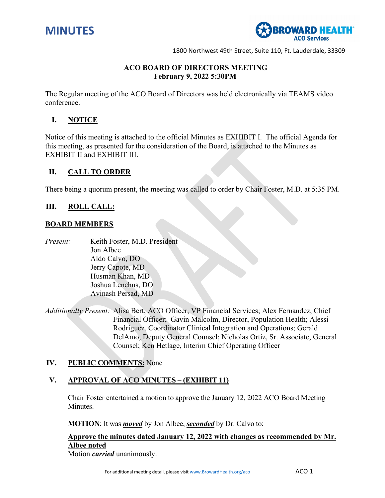

# 35T**ACO BOARD OF DIRECTORS MEETING February 9, 2022 5:30PM**

The Regular meeting of the ACO Board of Directors was held electronically via TEAMS video conference.

## **I. NOTICE**

Notice of this meeting is attached to the official Minutes as EXHIBIT I. The official Agenda for this meeting, as presented for the consideration of the Board, is attached to the Minutes as EXHIBIT II and EXHIBIT III.

### **II. CALL TO ORDER**

There being a quorum present, the meeting was called to order by Chair Foster, M.D. at 5:35 PM.

### **III. ROLL CALL:**

### **BOARD MEMBERS**

*Present:* Keith Foster, M.D. President Jon Albee Aldo Calvo, DO Jerry Capote, MD Husman Khan, MD Joshua Lenchus, DO Avinash Persad, MD

*Additionally Present:* Alisa Bert, ACO Officer, VP Financial Services; Alex Fernandez, Chief Financial Officer; Gavin Malcolm, Director, Population Health; Alessi Rodriguez, Coordinator Clinical Integration and Operations; Gerald DelAmo, Deputy General Counsel; Nicholas Ortiz, Sr. Associate, General Counsel; Ken Hetlage, Interim Chief Operating Officer

### **IV. PUBLIC COMMENTS:** None

# **V. APPROVAL OF ACO MINUTES – (EXHIBIT 11)**

Chair Foster entertained a motion to approve the January 12, 2022 ACO Board Meeting Minutes.

**MOTION**: It was *moved* by Jon Albee, *seconded* by Dr. Calvo to:

# **Approve the minutes dated January 12, 2022 with changes as recommended by Mr. Albee noted**

Motion *carried* unanimously.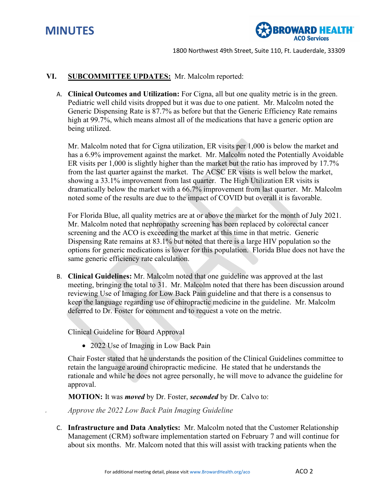



### **VI. SUBCOMMITTEE UPDATES:** Mr. Malcolm reported:

A. **Clinical Outcomes and Utilization:** For Cigna, all but one quality metric is in the green. Pediatric well child visits dropped but it was due to one patient. Mr. Malcolm noted the Generic Dispensing Rate is 87.7% as before but that the Generic Efficiency Rate remains high at 99.7%, which means almost all of the medications that have a generic option are being utilized.

Mr. Malcolm noted that for Cigna utilization, ER visits per 1,000 is below the market and has a 6.9% improvement against the market. Mr. Malcolm noted the Potentially Avoidable ER visits per 1,000 is slightly higher than the market but the ratio has improved by 17.7% from the last quarter against the market. The ACSC ER visits is well below the market, showing a 33.1% improvement from last quarter. The High Utilization ER visits is dramatically below the market with a 66.7% improvement from last quarter. Mr. Malcolm noted some of the results are due to the impact of COVID but overall it is favorable.

For Florida Blue, all quality metrics are at or above the market for the month of July 2021. Mr. Malcolm noted that nephropathy screening has been replaced by colorectal cancer screening and the ACO is exceeding the market at this time in that metric. Generic Dispensing Rate remains at 83.1% but noted that there is a large HIV population so the options for generic medications is lower for this population. Florida Blue does not have the same generic efficiency rate calculation.

B. **Clinical Guidelines:** Mr. Malcolm noted that one guideline was approved at the last meeting, bringing the total to 31. Mr. Malcolm noted that there has been discussion around reviewing Use of Imaging for Low Back Pain guideline and that there is a consensus to keep the language regarding use of chiropractic medicine in the guideline. Mr. Malcolm deferred to Dr. Foster for comment and to request a vote on the metric.

Clinical Guideline for Board Approval

• 2022 Use of Imaging in Low Back Pain

Chair Foster stated that he understands the position of the Clinical Guidelines committee to retain the language around chiropractic medicine. He stated that he understands the rationale and while he does not agree personally, he will move to advance the guideline for approval.

**MOTION:** It was *moved* by Dr. Foster, *seconded* by Dr. Calvo to:

*<sup>U</sup> Approve the 2022 Low Back Pain Imaging Guideline* 

C. **Infrastructure and Data Analytics:** Mr. Malcolm noted that the Customer Relationship Management (CRM) software implementation started on February 7 and will continue for about six months. Mr. Malcom noted that this will assist with tracking patients when the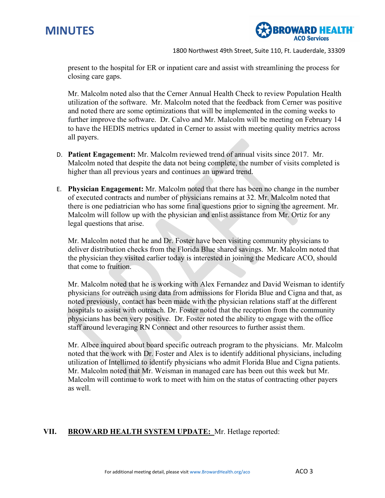



present to the hospital for ER or inpatient care and assist with streamlining the process for closing care gaps.

Mr. Malcolm noted also that the Cerner Annual Health Check to review Population Health utilization of the software. Mr. Malcolm noted that the feedback from Cerner was positive and noted there are some optimizations that will be implemented in the coming weeks to further improve the software. Dr. Calvo and Mr. Malcolm will be meeting on February 14 to have the HEDIS metrics updated in Cerner to assist with meeting quality metrics across all payers.

- D. **Patient Engagement:** Mr. Malcolm reviewed trend of annual visits since 2017. Mr. Malcolm noted that despite the data not being complete, the number of visits completed is higher than all previous years and continues an upward trend.
- E. **Physician Engagement:** Mr. Malcolm noted that there has been no change in the number of executed contracts and number of physicians remains at 32. Mr. Malcolm noted that there is one pediatrician who has some final questions prior to signing the agreement. Mr. Malcolm will follow up with the physician and enlist assistance from Mr. Ortiz for any legal questions that arise.

Mr. Malcolm noted that he and Dr. Foster have been visiting community physicians to deliver distribution checks from the Florida Blue shared savings. Mr. Malcolm noted that the physician they visited earlier today is interested in joining the Medicare ACO, should that come to fruition.

Mr. Malcolm noted that he is working with Alex Fernandez and David Weisman to identify physicians for outreach using data from admissions for Florida Blue and Cigna and that, as noted previously, contact has been made with the physician relations staff at the different hospitals to assist with outreach. Dr. Foster noted that the reception from the community physicians has been very positive. Dr. Foster noted the ability to engage with the office staff around leveraging RN Connect and other resources to further assist them.

Mr. Albee inquired about board specific outreach program to the physicians. Mr. Malcolm noted that the work with Dr. Foster and Alex is to identify additional physicians, including utilization of Intellimed to identify physicians who admit Florida Blue and Cigna patients. Mr. Malcolm noted that Mr. Weisman in managed care has been out this week but Mr. Malcolm will continue to work to meet with him on the status of contracting other payers as well.

# **VII. BROWARD HEALTH SYSTEM UPDATE:** Mr. Hetlage reported: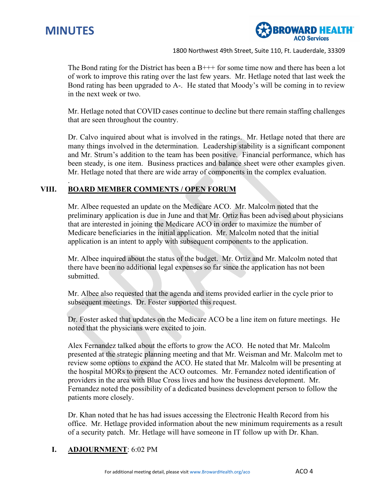

.



1800 Northwest 49th Street, Suite 110, Ft. Lauderdale, 33309

The Bond rating for the District has been a  $B_{+++}$  for some time now and there has been a lot of work to improve this rating over the last few years. Mr. Hetlage noted that last week the Bond rating has been upgraded to A-. He stated that Moody's will be coming in to review in the next week or two.

Mr. Hetlage noted that COVID cases continue to decline but there remain staffing challenges that are seen throughout the country.

Dr. Calvo inquired about what is involved in the ratings. Mr. Hetlage noted that there are many things involved in the determination. Leadership stability is a significant component and Mr. Strum's addition to the team has been positive. Financial performance, which has been steady, is one item. Business practices and balance sheet were other examples given. Mr. Hetlage noted that there are wide array of components in the complex evaluation.

# **VIII. BOARD MEMBER COMMENTS / OPEN FORUM**

Mr. Albee requested an update on the Medicare ACO. Mr. Malcolm noted that the preliminary application is due in June and that Mr. Ortiz has been advised about physicians that are interested in joining the Medicare ACO in order to maximize the number of Medicare beneficiaries in the initial application. Mr. Malcolm noted that the initial application is an intent to apply with subsequent components to the application.

Mr. Albee inquired about the status of the budget. Mr. Ortiz and Mr. Malcolm noted that there have been no additional legal expenses so far since the application has not been submitted.

Mr. Albee also requested that the agenda and items provided earlier in the cycle prior to subsequent meetings. Dr. Foster supported this request.

Dr. Foster asked that updates on the Medicare ACO be a line item on future meetings. He noted that the physicians were excited to join.

Alex Fernandez talked about the efforts to grow the ACO. He noted that Mr. Malcolm presented at the strategic planning meeting and that Mr. Weisman and Mr. Malcolm met to review some options to expand the ACO. He stated that Mr. Malcolm will be presenting at the hospital MORs to present the ACO outcomes. Mr. Fernandez noted identification of providers in the area with Blue Cross lives and how the business development. Mr. Fernandez noted the possibility of a dedicated business development person to follow the patients more closely.

Dr. Khan noted that he has had issues accessing the Electronic Health Record from his office. Mr. Hetlage provided information about the new minimum requirements as a result of a security patch. Mr. Hetlage will have someone in IT follow up with Dr. Khan.

# **I. ADJOURNMENT**: 6:02 PM